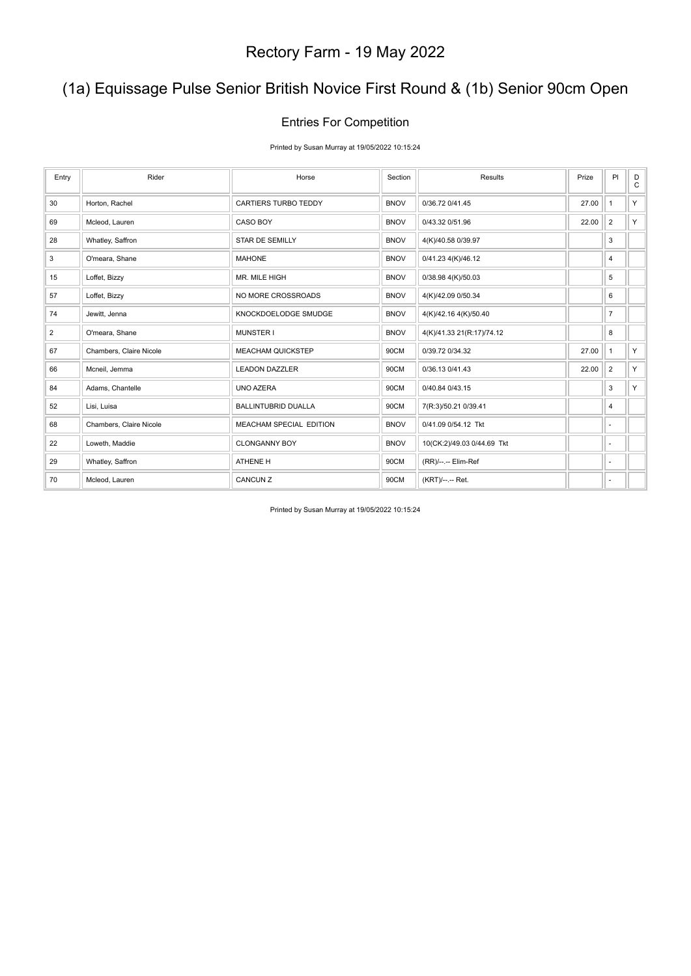### (1a) Equissage Pulse Senior British Novice First Round & (1b) Senior 90cm Open

### Entries For Competition

Printed by Susan Murray at 19/05/2022 10:15:24

| Entry          | Rider                   | Horse                       | Section     | Results                    | Prize | PI             | D<br>$\mathsf{C}$ |
|----------------|-------------------------|-----------------------------|-------------|----------------------------|-------|----------------|-------------------|
| 30             | Horton, Rachel          | <b>CARTIERS TURBO TEDDY</b> | <b>BNOV</b> | 0/36.72 0/41.45            | 27.00 | $\mathbf{1}$   | Y                 |
| 69             | Mcleod, Lauren          | <b>CASO BOY</b>             | <b>BNOV</b> | 0/43.32 0/51.96            | 22.00 | $\overline{2}$ | Y.                |
| 28             | Whatley, Saffron        | <b>STAR DE SEMILLY</b>      | <b>BNOV</b> | 4(K)/40.58 0/39.97         |       | 3              |                   |
| 3              | O'meara, Shane          | <b>MAHONE</b>               | <b>BNOV</b> | 0/41.23 4(K)/46.12         |       | 4              |                   |
| 15             | Loffet, Bizzy           | MR. MILE HIGH               | <b>BNOV</b> | 0/38.98 4(K)/50.03         |       | 5              |                   |
| 57             | Loffet, Bizzy           | NO MORE CROSSROADS          | <b>BNOV</b> | 4(K)/42.09 0/50.34         |       | 6              |                   |
| 74             | Jewitt, Jenna           | KNOCKDOELODGE SMUDGE        | <b>BNOV</b> | 4(K)/42.16 4(K)/50.40      |       | $\overline{7}$ |                   |
| $\overline{2}$ | O'meara, Shane          | <b>MUNSTER I</b>            | <b>BNOV</b> | 4(K)/41.33 21(R:17)/74.12  |       | 8              |                   |
| 67             | Chambers, Claire Nicole | <b>MEACHAM QUICKSTEP</b>    | 90CM        | 0/39.72 0/34.32            | 27.00 | $\mathbf{1}$   | Y                 |
| 66             | Mcneil, Jemma           | <b>LEADON DAZZLER</b>       | 90CM        | 0/36.13 0/41.43            | 22.00 | $\overline{2}$ | Y.                |
| 84             | Adams, Chantelle        | <b>UNO AZERA</b>            | 90CM        | 0/40.84 0/43.15            |       | 3              | Y.                |
| 52             | Lisi, Luisa             | <b>BALLINTUBRID DUALLA</b>  | 90CM        | 7(R:3)/50.21 0/39.41       |       | 4              |                   |
| 68             | Chambers, Claire Nicole | MEACHAM SPECIAL EDITION     | <b>BNOV</b> | 0/41.09 0/54.12 Tkt        |       | ٠              |                   |
| 22             | Loweth, Maddie          | <b>CLONGANNY BOY</b>        | <b>BNOV</b> | 10(CK:2)/49.03 0/44.69 Tkt |       | $\sim$         |                   |
| 29             | Whatley, Saffron        | ATHENE H                    | 90CM        | (RR)/--.-- Elim-Ref        |       | ٠              |                   |
| 70             | Mcleod, Lauren          | CANCUN Z                    | 90CM        | (KRT)/--.-- Ret.           |       | ٠              |                   |

Printed by Susan Murray at 19/05/2022 10:15:24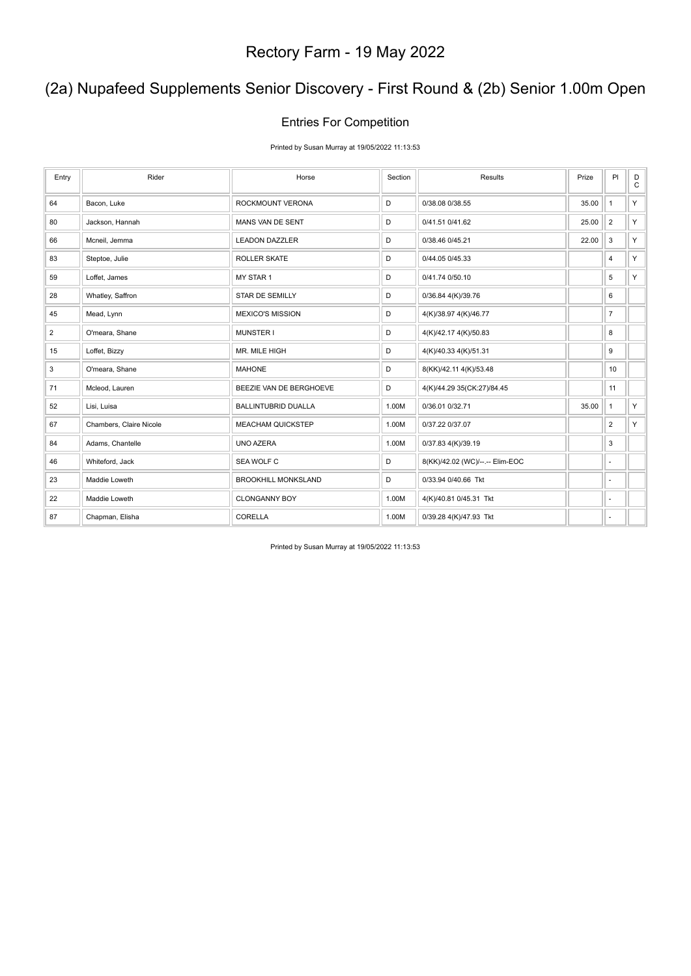### (2a) Nupafeed Supplements Senior Discovery - First Round & (2b) Senior 1.00m Open

#### Entries For Competition

Printed by Susan Murray at 19/05/2022 11:13:53

| Entry | Rider                   | Horse                      | Section | Results                         | Prize | PI                       | D<br>$\mathsf C$ |
|-------|-------------------------|----------------------------|---------|---------------------------------|-------|--------------------------|------------------|
| 64    | Bacon, Luke             | ROCKMOUNT VERONA           | D       | 0/38.08 0/38.55                 | 35.00 | $\mathbf{1}$             | Y.               |
| 80    | Jackson, Hannah         | MANS VAN DE SENT           | D       | 0/41.51 0/41.62                 | 25.00 | $\overline{2}$           | Y.               |
| 66    | Mcneil, Jemma           | <b>LEADON DAZZLER</b>      | D       | 0/38.46 0/45.21                 | 22.00 | $\mathsf 3$              | Y.               |
| 83    | Steptoe, Julie          | ROLLER SKATE               | D       | 0/44.05 0/45.33                 |       | 4                        | Y.               |
| 59    | Loffet, James           | MY STAR 1                  | D       | 0/41.74 0/50.10                 |       | 5                        | Y                |
| 28    | Whatley, Saffron        | STAR DE SEMILLY            | D       | 0/36.84 4(K)/39.76              |       | 6                        |                  |
| 45    | Mead, Lynn              | <b>MEXICO'S MISSION</b>    | D       | 4(K)/38.97 4(K)/46.77           |       | $\overline{7}$           |                  |
| 2     | O'meara, Shane          | <b>MUNSTER I</b>           | D       | 4(K)/42.17 4(K)/50.83           |       | 8                        |                  |
| 15    | Loffet, Bizzy           | MR. MILE HIGH              | D       | 4(K)/40.33 4(K)/51.31           |       | 9                        |                  |
| 3     | O'meara, Shane          | <b>MAHONE</b>              | D       | 8(KK)/42.11 4(K)/53.48          |       | 10                       |                  |
| 71    | Mcleod, Lauren          | BEEZIE VAN DE BERGHOEVE    | D       | 4(K)/44.29 35(CK:27)/84.45      |       | 11                       |                  |
| 52    | Lisi, Luisa             | <b>BALLINTUBRID DUALLA</b> | 1.00M   | 0/36.01 0/32.71                 | 35.00 | $\mathbf{1}$             | Y.               |
| 67    | Chambers, Claire Nicole | <b>MEACHAM QUICKSTEP</b>   | 1.00M   | 0/37.22 0/37.07                 |       | $\overline{2}$           | Y.               |
| 84    | Adams, Chantelle        | UNO AZERA                  | 1.00M   | 0/37.83 4(K)/39.19              |       | 3                        |                  |
| 46    | Whiteford, Jack         | SEA WOLF C                 | D       | 8(KK)/42.02 (WC)/--.-- Elim-EOC |       | $\sim$                   |                  |
| 23    | Maddie Loweth           | <b>BROOKHILL MONKSLAND</b> | D       | 0/33.94 0/40.66 Tkt             |       | $\overline{a}$           |                  |
| 22    | Maddie Loweth           | <b>CLONGANNY BOY</b>       | 1.00M   | 4(K)/40.81 0/45.31 Tkt          |       | $\overline{\phantom{a}}$ |                  |
| 87    | Chapman, Elisha         | CORELLA                    | 1.00M   | 0/39.28 4(K)/47.93 Tkt          |       | ٠                        |                  |

Printed by Susan Murray at 19/05/2022 11:13:53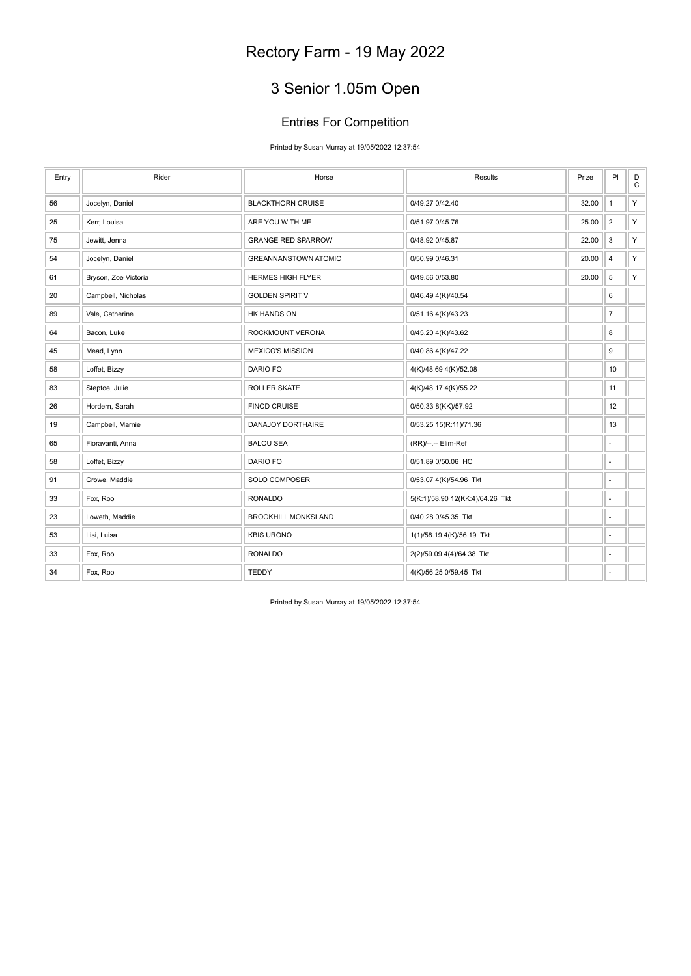# 3 Senior 1.05m Open

### Entries For Competition

Printed by Susan Murray at 19/05/2022 12:37:54

| Entry | Rider                | Horse                       | Results                         | Prize | PI                       | $_{\rm C}^{\rm D}$ |
|-------|----------------------|-----------------------------|---------------------------------|-------|--------------------------|--------------------|
| 56    | Jocelyn, Daniel      | <b>BLACKTHORN CRUISE</b>    | 0/49.27 0/42.40                 | 32.00 | $\mathbf{1}$             | Y                  |
| 25    | Kerr, Louisa         | ARE YOU WITH ME             | 0/51.97 0/45.76                 | 25.00 | $\overline{2}$           | Y.                 |
| 75    | Jewitt, Jenna        | <b>GRANGE RED SPARROW</b>   | 0/48.92 0/45.87                 | 22.00 | 3                        | Y                  |
| 54    | Jocelyn, Daniel      | <b>GREANNANSTOWN ATOMIC</b> | 0/50.99 0/46.31                 | 20.00 | $\overline{\mathbf{4}}$  | Y                  |
| 61    | Bryson, Zoe Victoria | <b>HERMES HIGH FLYER</b>    | 0/49.56 0/53.80                 | 20.00 | 5                        | Y.                 |
| 20    | Campbell, Nicholas   | <b>GOLDEN SPIRIT V</b>      | 0/46.49 4(K)/40.54              |       | 6                        |                    |
| 89    | Vale, Catherine      | HK HANDS ON                 | 0/51.16 4(K)/43.23              |       | $\overline{7}$           |                    |
| 64    | Bacon, Luke          | ROCKMOUNT VERONA            | 0/45.20 4(K)/43.62              |       | 8                        |                    |
| 45    | Mead, Lynn           | <b>MEXICO'S MISSION</b>     | 0/40.86 4(K)/47.22              |       | 9                        |                    |
| 58    | Loffet, Bizzy        | DARIO FO                    | 4(K)/48.69 4(K)/52.08           |       | 10                       |                    |
| 83    | Steptoe, Julie       | <b>ROLLER SKATE</b>         | 4(K)/48.17 4(K)/55.22           |       | 11                       |                    |
| 26    | Hordern, Sarah       | <b>FINOD CRUISE</b>         | 0/50.33 8(KK)/57.92             |       | 12                       |                    |
| 19    | Campbell, Marnie     | DANAJOY DORTHAIRE           | 0/53.25 15(R:11)/71.36          |       | 13                       |                    |
| 65    | Fioravanti, Anna     | <b>BALOU SEA</b>            | (RR)/--.-- Elim-Ref             |       | $\overline{\phantom{a}}$ |                    |
| 58    | Loffet, Bizzy        | DARIO FO                    | 0/51.89 0/50.06 HC              |       | ÷,                       |                    |
| 91    | Crowe, Maddie        | SOLO COMPOSER               | 0/53.07 4(K)/54.96 Tkt          |       | ÷,                       |                    |
| 33    | Fox, Roo             | <b>RONALDO</b>              | 5(K:1)/58.90 12(KK:4)/64.26 Tkt |       | ÷,                       |                    |
| 23    | Loweth, Maddie       | <b>BROOKHILL MONKSLAND</b>  | 0/40.28 0/45.35 Tkt             |       | ÷,                       |                    |
| 53    | Lisi, Luisa          | <b>KBIS URONO</b>           | 1(1)/58.19 4(K)/56.19 Tkt       |       | $\sim$                   |                    |
| 33    | Fox, Roo             | <b>RONALDO</b>              | 2(2)/59.09 4(4)/64.38 Tkt       |       | ÷,                       |                    |
| 34    | Fox, Roo             | <b>TEDDY</b>                | 4(K)/56.25 0/59.45 Tkt          |       | ÷,                       |                    |

Printed by Susan Murray at 19/05/2022 12:37:54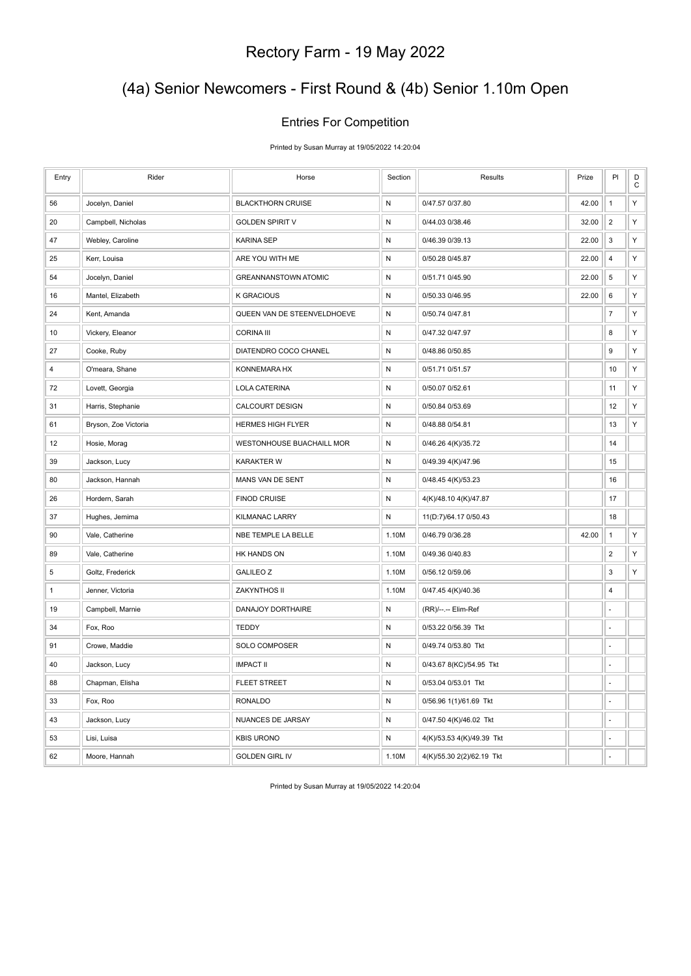### (4a) Senior Newcomers - First Round & (4b) Senior 1.10m Open

### Entries For Competition

Printed by Susan Murray at 19/05/2022 14:20:04

| Entry          | Rider                | Horse                       | Section   | Results                   | Prize | PI                      | D<br>$\mathsf C$ |
|----------------|----------------------|-----------------------------|-----------|---------------------------|-------|-------------------------|------------------|
| 56             | Jocelyn, Daniel      | <b>BLACKTHORN CRUISE</b>    | ${\sf N}$ | 0/47.57 0/37.80           | 42.00 | $\mathbf{1}$            | Υ                |
| 20             | Campbell, Nicholas   | <b>GOLDEN SPIRIT V</b>      | ${\sf N}$ | 0/44.03 0/38.46           | 32.00 | $\overline{2}$          | Υ                |
| 47             | Webley, Caroline     | <b>KARINA SEP</b>           | ${\sf N}$ | 0/46.39 0/39.13           | 22.00 | 3                       | Υ                |
| 25             | Kerr, Louisa         | ARE YOU WITH ME             | ${\sf N}$ | 0/50.28 0/45.87           | 22.00 | $\overline{4}$          | Υ                |
| 54             | Jocelyn, Daniel      | <b>GREANNANSTOWN ATOMIC</b> | N         | 0/51.71 0/45.90           | 22.00 | 5                       | Υ                |
| 16             | Mantel, Elizabeth    | <b>K GRACIOUS</b>           | ${\sf N}$ | 0/50.33 0/46.95           | 22.00 | 6                       | Υ                |
| 24             | Kent, Amanda         | QUEEN VAN DE STEENVELDHOEVE | ${\sf N}$ | 0/50.74 0/47.81           |       | $\boldsymbol{7}$        | Υ                |
| 10             | Vickery, Eleanor     | <b>CORINA III</b>           | ${\sf N}$ | 0/47.32 0/47.97           |       | 8                       | Υ                |
| 27             | Cooke, Ruby          | DIATENDRO COCO CHANEL       | ${\sf N}$ | 0/48.86 0/50.85           |       | 9                       | Υ                |
| $\overline{4}$ | O'meara, Shane       | KONNEMARA HX                | ${\sf N}$ | 0/51.71 0/51.57           |       | 10                      | Υ                |
| 72             | Lovett, Georgia      | <b>LOLA CATERINA</b>        | ${\sf N}$ | 0/50.07 0/52.61           |       | 11                      | Υ                |
| 31             | Harris, Stephanie    | CALCOURT DESIGN             | ${\sf N}$ | 0/50.84 0/53.69           |       | 12                      | Υ                |
| 61             | Bryson, Zoe Victoria | <b>HERMES HIGH FLYER</b>    | ${\sf N}$ | 0/48.88 0/54.81           |       | 13                      | Υ                |
| 12             | Hosie, Morag         | WESTONHOUSE BUACHAILL MOR   | ${\sf N}$ | 0/46.26 4(K)/35.72        |       | 14                      |                  |
| 39             | Jackson, Lucy        | <b>KARAKTER W</b>           | ${\sf N}$ | 0/49.39 4(K)/47.96        |       | 15                      |                  |
| 80             | Jackson, Hannah      | MANS VAN DE SENT            | ${\sf N}$ | 0/48.45 4(K)/53.23        |       | 16                      |                  |
| 26             | Hordern, Sarah       | <b>FINOD CRUISE</b>         | ${\sf N}$ | 4(K)/48.10 4(K)/47.87     |       | 17                      |                  |
| 37             | Hughes, Jemima       | <b>KILMANAC LARRY</b>       | ${\sf N}$ | 11(D:7)/64.17 0/50.43     |       | 18                      |                  |
| 90             | Vale, Catherine      | NBE TEMPLE LA BELLE         | 1.10M     | 0/46.79 0/36.28           | 42.00 | $\mathbf{1}$            | Υ                |
| 89             | Vale, Catherine      | HK HANDS ON                 | 1.10M     | 0/49.36 0/40.83           |       | $\overline{c}$          | Υ                |
| 5              | Goltz, Frederick     | <b>GALILEO Z</b>            | 1.10M     | 0/56.12 0/59.06           |       | 3                       | Υ                |
| $\mathbf{1}$   | Jenner, Victoria     | ZAKYNTHOS II                | 1.10M     | 0/47.45 4(K)/40.36        |       | $\overline{\mathbf{4}}$ |                  |
| 19             | Campbell, Marnie     | DANAJOY DORTHAIRE           | ${\sf N}$ | (RR)/--.-- Elim-Ref       |       | L.                      |                  |
| 34             | Fox, Roo             | <b>TEDDY</b>                | ${\sf N}$ | 0/53.22 0/56.39 Tkt       |       | ÷,                      |                  |
| 91             | Crowe, Maddie        | SOLO COMPOSER               | N         | 0/49.74 0/53.80 Tkt       |       | l,                      |                  |
| 40             | Jackson, Lucy        | <b>IMPACT II</b>            | ${\sf N}$ | 0/43.67 8(KC)/54.95 Tkt   |       | L.                      |                  |
| 88             | Chapman, Elisha      | <b>FLEET STREET</b>         | ${\sf N}$ | 0/53.04 0/53.01 Tkt       |       | ä,                      |                  |
| 33             | Fox, Roo             | <b>RONALDO</b>              | ${\sf N}$ | 0/56.96 1(1)/61.69 Tkt    |       | l,                      |                  |
| 43             | Jackson, Lucy        | NUANCES DE JARSAY           | ${\sf N}$ | 0/47.50 4(K)/46.02 Tkt    |       | ÷,                      |                  |
| 53             | Lisi, Luisa          | <b>KBIS URONO</b>           | ${\sf N}$ | 4(K)/53.53 4(K)/49.39 Tkt |       | L.                      |                  |
| 62             | Moore, Hannah        | <b>GOLDEN GIRL IV</b>       | 1.10M     | 4(K)/55.30 2(2)/62.19 Tkt |       | Ĭ.                      |                  |

Printed by Susan Murray at 19/05/2022 14:20:04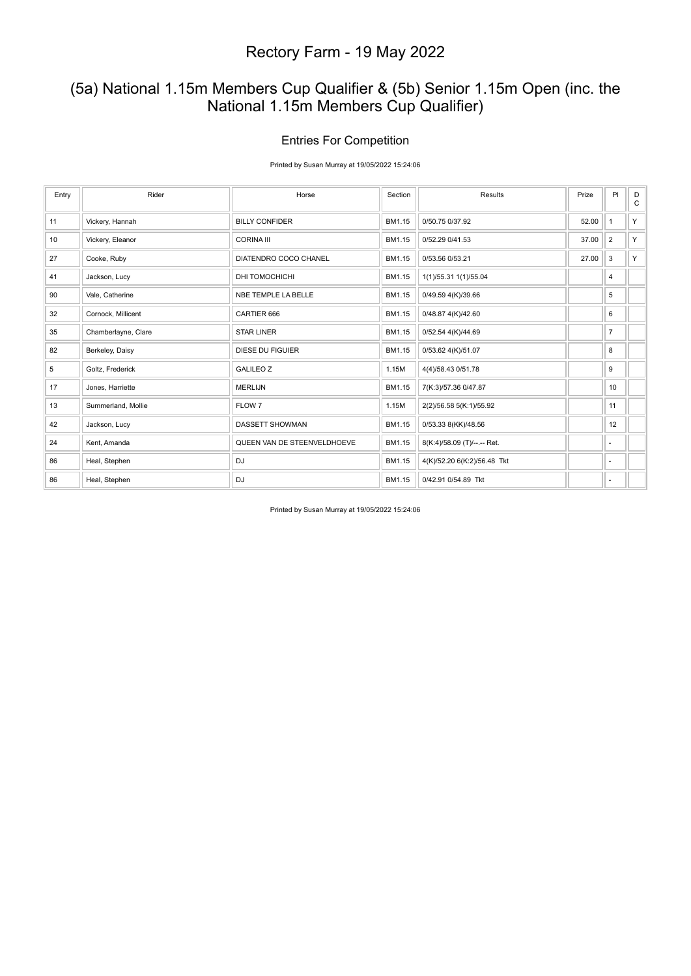### (5a) National 1.15m Members Cup Qualifier & (5b) Senior 1.15m Open (inc. the National 1.15m Members Cup Qualifier)

#### Entries For Competition

Printed by Susan Murray at 19/05/2022 15:24:06

| Entry | Rider               | Horse                       | Section | Results                     | Prize | PI             | D<br>$\mathsf{C}$ |
|-------|---------------------|-----------------------------|---------|-----------------------------|-------|----------------|-------------------|
| 11    | Vickery, Hannah     | <b>BILLY CONFIDER</b>       | BM1.15  | 0/50.75 0/37.92             | 52.00 | $\mathbf{1}$   | Y                 |
| 10    | Vickery, Eleanor    | <b>CORINA III</b>           | BM1.15  | 0/52.29 0/41.53             | 37.00 | 2              | Y.                |
| 27    | Cooke, Ruby         | DIATENDRO COCO CHANEL       | BM1.15  | 0/53.56 0/53.21             | 27.00 | 3              | Y                 |
| 41    | Jackson, Lucy       | DHI TOMOCHICHI              | BM1.15  | 1(1)/55.31 1(1)/55.04       |       | 4              |                   |
| 90    | Vale, Catherine     | NBE TEMPLE LA BELLE         | BM1.15  | 0/49.59 4(K)/39.66          |       | 5              |                   |
| 32    | Cornock, Millicent  | CARTIER 666                 | BM1.15  | 0/48.87 4(K)/42.60          |       | 6              |                   |
| 35    | Chamberlayne, Clare | <b>STAR LINER</b>           | BM1.15  | 0/52.54 4(K)/44.69          |       | $\overline{7}$ |                   |
| 82    | Berkeley, Daisy     | DIESE DU FIGUIER            | BM1.15  | 0/53.62 4(K)/51.07          |       | 8              |                   |
| 5     | Goltz, Frederick    | <b>GALILEO Z</b>            | 1.15M   | 4(4)/58.43 0/51.78          |       | 9              |                   |
| 17    | Jones, Harriette    | <b>MERLIJN</b>              | BM1.15  | 7(K:3)/57.36 0/47.87        |       | 10             |                   |
| 13    | Summerland, Mollie  | FLOW 7                      | 1.15M   | 2(2)/56.58 5(K:1)/55.92     |       | 11             |                   |
| 42    | Jackson, Lucy       | DASSETT SHOWMAN             | BM1.15  | 0/53.33 8(KK)/48.56         |       | 12             |                   |
| 24    | Kent, Amanda        | QUEEN VAN DE STEENVELDHOEVE | BM1.15  | 8(K:4)/58.09 (T)/--.-- Ret. |       | ٠              |                   |
| 86    | Heal, Stephen       | DJ                          | BM1.15  | 4(K)/52.20 6(K:2)/56.48 Tkt |       | ٠              |                   |
| 86    | Heal, Stephen       | <b>DJ</b>                   | BM1.15  | 0/42.91 0/54.89 Tkt         |       | ٠              |                   |

Printed by Susan Murray at 19/05/2022 15:24:06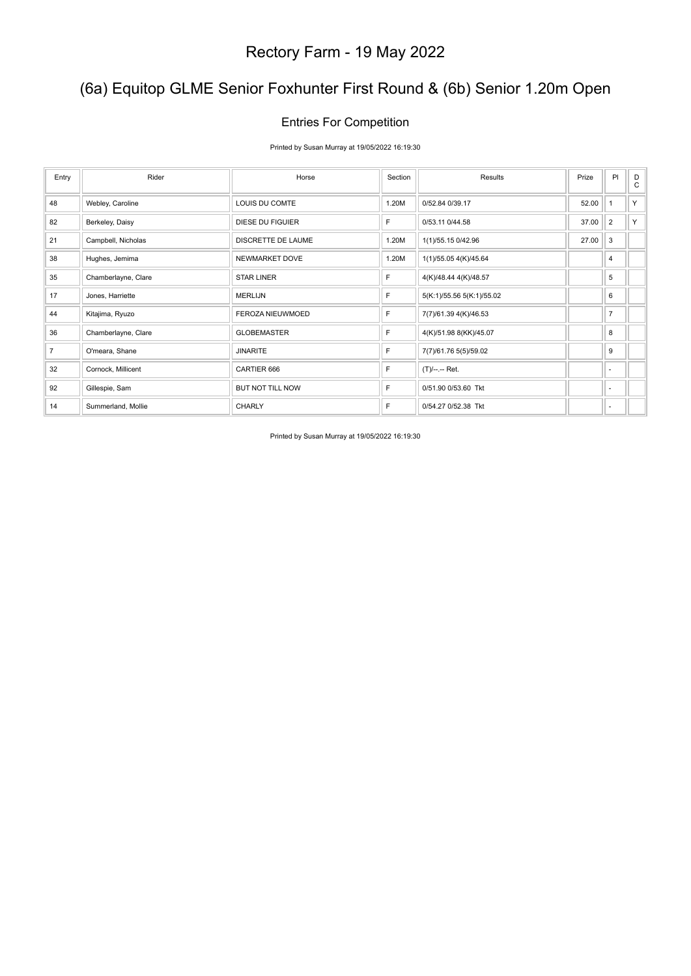### (6a) Equitop GLME Senior Foxhunter First Round & (6b) Senior 1.20m Open

### Entries For Competition

Printed by Susan Murray at 19/05/2022 16:19:30

| Entry          | Rider               | Horse              | Section | Results                   | Prize | PI             | D<br>$\mathsf{C}$ |
|----------------|---------------------|--------------------|---------|---------------------------|-------|----------------|-------------------|
| 48             | Webley, Caroline    | LOUIS DU COMTE     | 1.20M   | 0/52.84 0/39.17           | 52.00 | $\overline{1}$ | Y                 |
| 82             | Berkeley, Daisy     | DIESE DU FIGUIER   | F       | 0/53.11 0/44.58           | 37.00 | $\overline{2}$ | Y.                |
| 21             | Campbell, Nicholas  | DISCRETTE DE LAUME | 1.20M   | 1(1)/55.15 0/42.96        | 27.00 | 3              |                   |
| 38             | Hughes, Jemima      | NEWMARKET DOVE     | 1.20M   | 1(1)/55.05 4(K)/45.64     |       | 4              |                   |
| 35             | Chamberlayne, Clare | <b>STAR LINER</b>  | F       | 4(K)/48.44 4(K)/48.57     |       | 5              |                   |
| 17             | Jones, Harriette    | <b>MERLIJN</b>     | F       | 5(K:1)/55.56 5(K:1)/55.02 |       | 6              |                   |
| 44             | Kitajima, Ryuzo     | FEROZA NIEUWMOED   | F       | 7(7)/61.39 4(K)/46.53     |       | $\overline{7}$ |                   |
| 36             | Chamberlayne, Clare | <b>GLOBEMASTER</b> | F       | 4(K)/51.98 8(KK)/45.07    |       | 8              |                   |
| $\overline{7}$ | O'meara, Shane      | <b>JINARITE</b>    | F       | 7(7)/61.76 5(5)/59.02     |       | 9              |                   |
| 32             | Cornock, Millicent  | CARTIER 666        | F       | (T)/--.-- Ret.            |       | ٠              |                   |
| 92             | Gillespie, Sam      | BUT NOT TILL NOW   | F       | 0/51.90 0/53.60 Tkt       |       | ٠              |                   |
| 14             | Summerland, Mollie  | <b>CHARLY</b>      | F       | 0/54.27 0/52.38 Tkt       |       | ٠              |                   |

Printed by Susan Murray at 19/05/2022 16:19:30